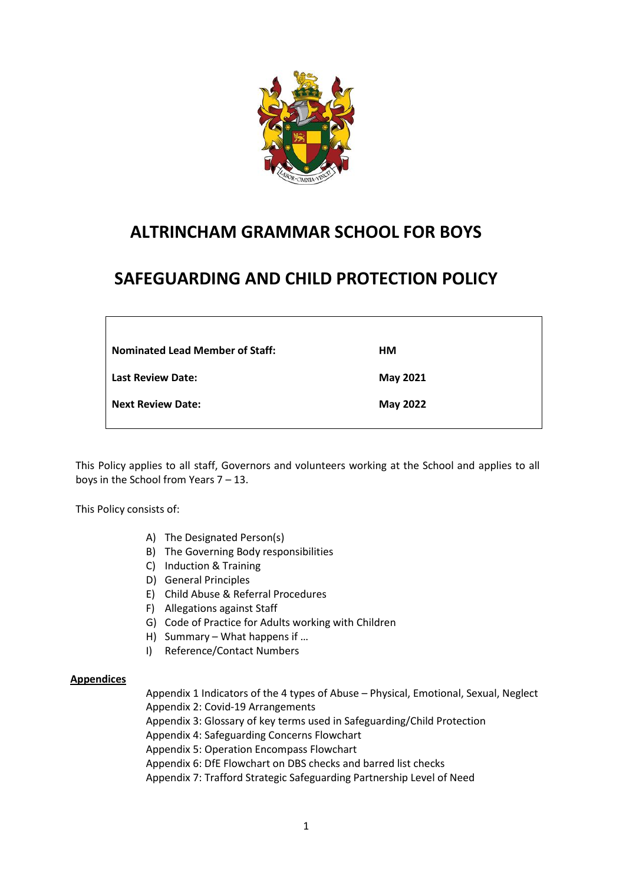

# **ALTRINCHAM GRAMMAR SCHOOL FOR BOYS**

# **SAFEGUARDING AND CHILD PROTECTION POLICY**

| <b>Nominated Lead Member of Staff:</b> | HM       |
|----------------------------------------|----------|
| <b>Last Review Date:</b>               | May 2021 |
| <b>Next Review Date:</b>               | May 2022 |
|                                        |          |

This Policy applies to all staff, Governors and volunteers working at the School and applies to all boys in the School from Years 7 – 13.

This Policy consists of:

- A) The Designated Person(s)
- B) The Governing Body responsibilities
- C) Induction & Training
- D) General Principles
- E) Child Abuse & Referral Procedures
- F) Allegations against Staff
- G) Code of Practice for Adults working with Children
- H) Summary What happens if …
- I) Reference/Contact Numbers

## **Appendices**

Appendix 1 Indicators of the 4 types of Abuse – Physical, Emotional, Sexual, Neglect Appendix 2: Covid-19 Arrangements

Appendix 3: Glossary of key terms used in Safeguarding/Child Protection

Appendix 4: Safeguarding Concerns Flowchart

Appendix 5: Operation Encompass Flowchart

Appendix 6: DfE Flowchart on DBS checks and barred list checks

Appendix 7: Trafford Strategic Safeguarding Partnership Level of Need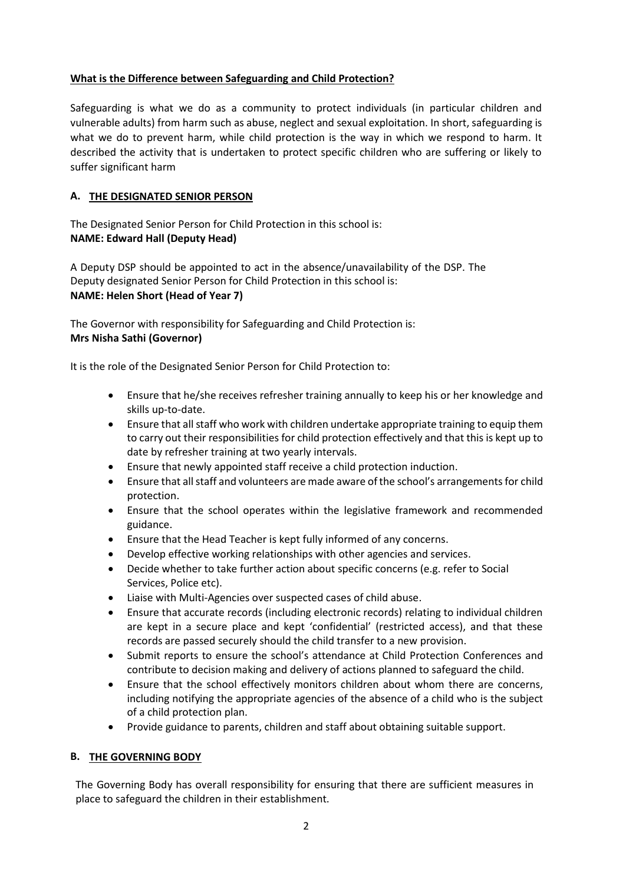## **What is the Difference between Safeguarding and Child Protection?**

Safeguarding is what we do as a community to protect individuals (in particular children and vulnerable adults) from harm such as abuse, neglect and sexual exploitation. In short, safeguarding is what we do to prevent harm, while child protection is the way in which we respond to harm. It described the activity that is undertaken to protect specific children who are suffering or likely to suffer significant harm

## **A. THE DESIGNATED SENIOR PERSON**

The Designated Senior Person for Child Protection in this school is: **NAME: Edward Hall (Deputy Head)**

A Deputy DSP should be appointed to act in the absence/unavailability of the DSP. The Deputy designated Senior Person for Child Protection in this school is: **NAME: Helen Short (Head of Year 7)**

The Governor with responsibility for Safeguarding and Child Protection is: **Mrs Nisha Sathi (Governor)**

It is the role of the Designated Senior Person for Child Protection to:

- Ensure that he/she receives refresher training annually to keep his or her knowledge and skills up-to-date.
- Ensure that all staff who work with children undertake appropriate training to equip them to carry out their responsibilities for child protection effectively and that this is kept up to date by refresher training at two yearly intervals.
- Ensure that newly appointed staff receive a child protection induction.
- Ensure that all staff and volunteers are made aware of the school's arrangements for child protection.
- Ensure that the school operates within the legislative framework and recommended guidance.
- Ensure that the Head Teacher is kept fully informed of any concerns.
- Develop effective working relationships with other agencies and services.
- Decide whether to take further action about specific concerns (e.g. refer to Social Services, Police etc).
- Liaise with Multi-Agencies over suspected cases of child abuse.
- Ensure that accurate records (including electronic records) relating to individual children are kept in a secure place and kept 'confidential' (restricted access), and that these records are passed securely should the child transfer to a new provision.
- Submit reports to ensure the school's attendance at Child Protection Conferences and contribute to decision making and delivery of actions planned to safeguard the child.
- Ensure that the school effectively monitors children about whom there are concerns, including notifying the appropriate agencies of the absence of a child who is the subject of a child protection plan.
- Provide guidance to parents, children and staff about obtaining suitable support.

## **B. THE GOVERNING BODY**

The Governing Body has overall responsibility for ensuring that there are sufficient measures in place to safeguard the children in their establishment.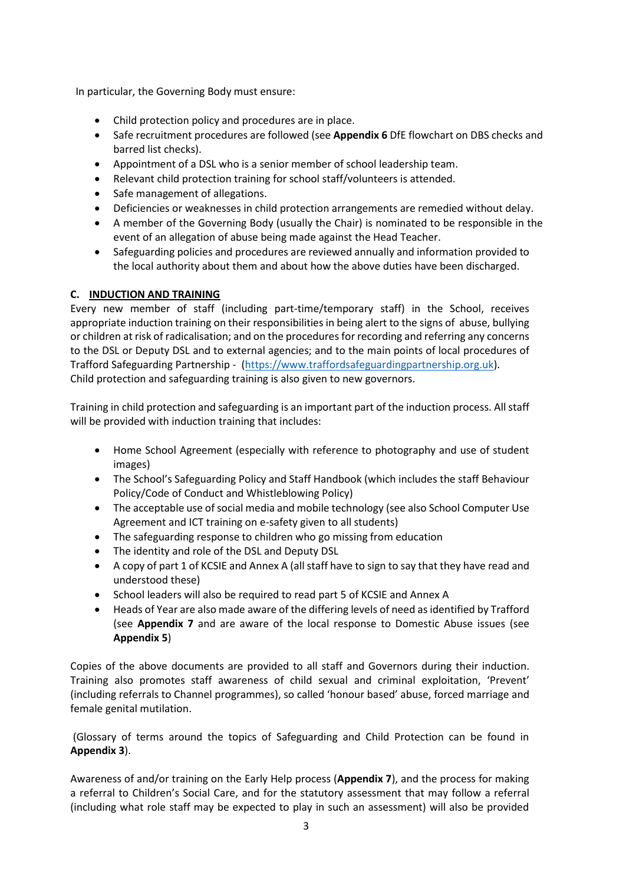In particular, the Governing Body must ensure:

- Child protection policy and procedures are in place.
- Safe recruitment procedures are followed (see **Appendix 6** DfE flowchart on DBS checks and barred list checks).
- Appointment of a DSL who is a senior member of school leadership team.
- Relevant child protection training for school staff/volunteers is attended.
- Safe management of allegations.
- Deficiencies or weaknesses in child protection arrangements are remedied without delay.
- A member of the Governing Body (usually the Chair) is nominated to be responsible in the event of an allegation of abuse being made against the Head Teacher.
- Safeguarding policies and procedures are reviewed annually and information provided to the local authority about them and about how the above duties have been discharged.

## **C. INDUCTION AND TRAINING**

Every new member of staff (including part-time/temporary staff) in the School, receives appropriate induction training on their responsibilities in being alert to the signs of abuse, bullying or children at risk of radicalisation; and on the procedures for recording and referring any concerns to the DSL or Deputy DSL and to external agencies; and to the main points of local procedures of Trafford Safeguarding Partnership - [\(https://www.traffordsafeguardingpartnership.org.uk\)](https://www.traffordsafeguardingpartnership.org.uk/). Child protection and safeguarding training is also given to new governors.

Training in child protection and safeguarding is an important part of the induction process. All staff will be provided with induction training that includes:

- Home School Agreement (especially with reference to photography and use of student images)
- The School's Safeguarding Policy and Staff Handbook (which includes the staff Behaviour Policy/Code of Conduct and Whistleblowing Policy)
- The acceptable use of social media and mobile technology (see also School Computer Use Agreement and ICT training on e-safety given to all students)
- The safeguarding response to children who go missing from education
- The identity and role of the DSL and Deputy DSL
- A copy of part 1 of KCSIE and Annex A (all staff have to sign to say that they have read and understood these)
- School leaders will also be required to read part 5 of KCSIE and Annex A
- Heads of Year are also made aware of the differing levels of need as identified by Trafford (see **Appendix 7** and are aware of the local response to Domestic Abuse issues (see **Appendix 5**)

Copies of the above documents are provided to all staff and Governors during their induction. Training also promotes staff awareness of child sexual and criminal exploitation, 'Prevent' (including referrals to Channel programmes), so called 'honour based' abuse, forced marriage and female genital mutilation.

(Glossary of terms around the topics of Safeguarding and Child Protection can be found in **Appendix 3**).

Awareness of and/or training on the Early Help process (**Appendix 7**), and the process for making a referral to Children's Social Care, and for the statutory assessment that may follow a referral (including what role staff may be expected to play in such an assessment) will also be provided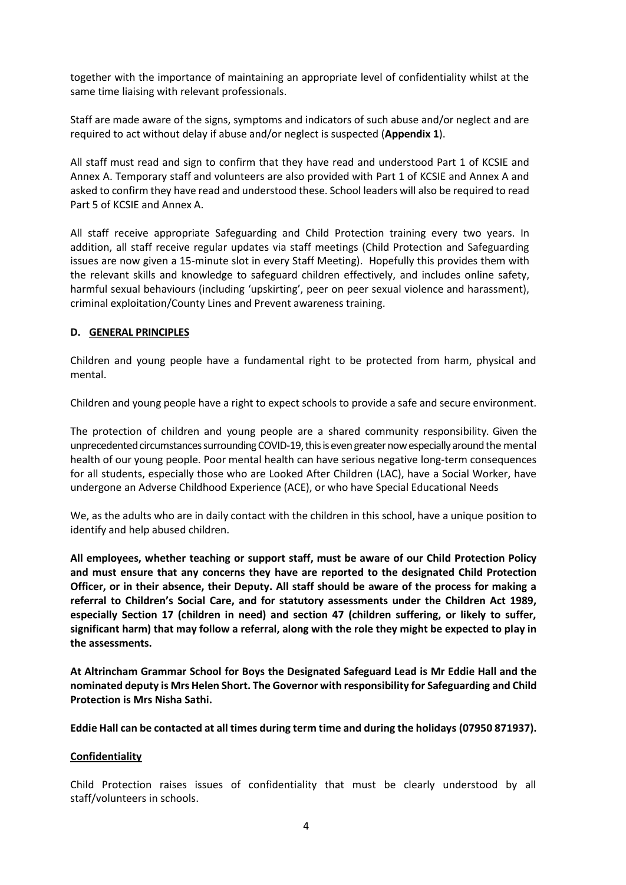together with the importance of maintaining an appropriate level of confidentiality whilst at the same time liaising with relevant professionals.

Staff are made aware of the signs, symptoms and indicators of such abuse and/or neglect and are required to act without delay if abuse and/or neglect is suspected (**Appendix 1**).

All staff must read and sign to confirm that they have read and understood Part 1 of KCSIE and Annex A. Temporary staff and volunteers are also provided with Part 1 of KCSIE and Annex A and asked to confirm they have read and understood these. School leaders will also be required to read Part 5 of KCSIE and Annex A.

All staff receive appropriate Safeguarding and Child Protection training every two years. In addition, all staff receive regular updates via staff meetings (Child Protection and Safeguarding issues are now given a 15-minute slot in every Staff Meeting). Hopefully this provides them with the relevant skills and knowledge to safeguard children effectively, and includes online safety, harmful sexual behaviours (including 'upskirting', peer on peer sexual violence and harassment), criminal exploitation/County Lines and Prevent awareness training.

## **D. GENERAL PRINCIPLES**

Children and young people have a fundamental right to be protected from harm, physical and mental.

Children and young people have a right to expect schools to provide a safe and secure environment.

The protection of children and young people are a shared community responsibility. Given the unprecedented circumstances surrounding COVID-19, this is even greater now especially around the mental health of our young people. Poor mental health can have serious negative long-term consequences for all students, especially those who are Looked After Children (LAC), have a Social Worker, have undergone an Adverse Childhood Experience (ACE), or who have Special Educational Needs

We, as the adults who are in daily contact with the children in this school, have a unique position to identify and help abused children.

**All employees, whether teaching or support staff, must be aware of our Child Protection Policy and must ensure that any concerns they have are reported to the designated Child Protection Officer, or in their absence, their Deputy. All staff should be aware of the process for making a referral to Children's Social Care, and for statutory assessments under the Children Act 1989, especially Section 17 (children in need) and section 47 (children suffering, or likely to suffer, significant harm) that may follow a referral, along with the role they might be expected to play in the assessments.**

**At Altrincham Grammar School for Boys the Designated Safeguard Lead is Mr Eddie Hall and the nominated deputy is Mrs Helen Short. The Governor with responsibility for Safeguarding and Child Protection is Mrs Nisha Sathi.**

**Eddie Hall can be contacted at all times during term time and during the holidays (07950 871937).** 

## **Confidentiality**

Child Protection raises issues of confidentiality that must be clearly understood by all staff/volunteers in schools.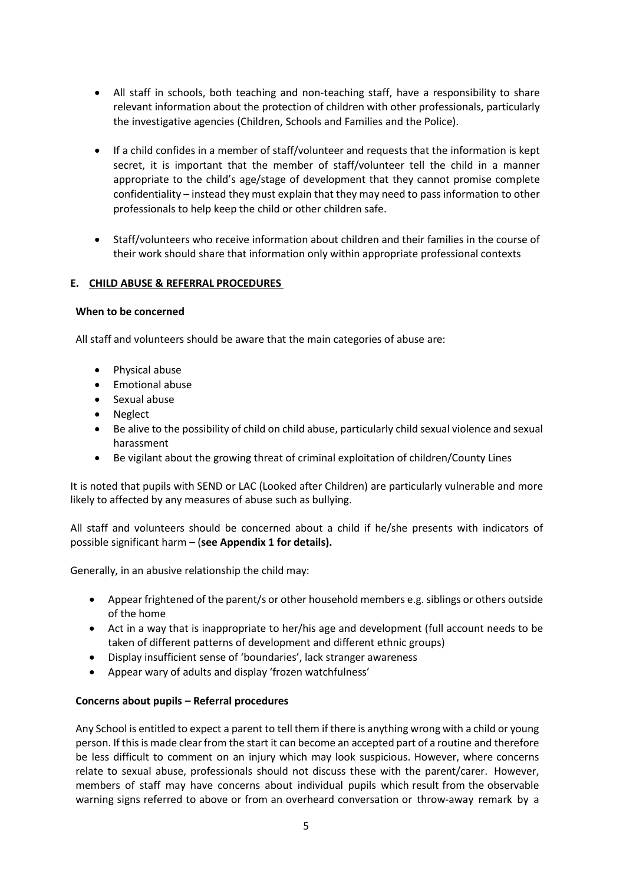- All staff in schools, both teaching and non-teaching staff, have a responsibility to share relevant information about the protection of children with other professionals, particularly the investigative agencies (Children, Schools and Families and the Police).
- If a child confides in a member of staff/volunteer and requests that the information is kept secret, it is important that the member of staff/volunteer tell the child in a manner appropriate to the child's age/stage of development that they cannot promise complete confidentiality – instead they must explain that they may need to pass information to other professionals to help keep the child or other children safe.
- Staff/volunteers who receive information about children and their families in the course of their work should share that information only within appropriate professional contexts

## **E. CHILD ABUSE & REFERRAL PROCEDURES**

## **When to be concerned**

All staff and volunteers should be aware that the main categories of abuse are:

- Physical abuse
- Emotional abuse
- Sexual abuse
- Neglect
- Be alive to the possibility of child on child abuse, particularly child sexual violence and sexual harassment
- Be vigilant about the growing threat of criminal exploitation of children/County Lines

It is noted that pupils with SEND or LAC (Looked after Children) are particularly vulnerable and more likely to affected by any measures of abuse such as bullying.

All staff and volunteers should be concerned about a child if he/she presents with indicators of possible significant harm – (**see Appendix 1 for details).**

Generally, in an abusive relationship the child may:

- Appear frightened of the parent/s or other household members e.g. siblings or others outside of the home
- Act in a way that is inappropriate to her/his age and development (full account needs to be taken of different patterns of development and different ethnic groups)
- Display insufficient sense of 'boundaries', lack stranger awareness
- Appear wary of adults and display 'frozen watchfulness'

## **Concerns about pupils – Referral procedures**

Any School is entitled to expect a parent to tell them if there is anything wrong with a child or young person. If this is made clear from the start it can become an accepted part of a routine and therefore be less difficult to comment on an injury which may look suspicious. However, where concerns relate to sexual abuse, professionals should not discuss these with the parent/carer. However, members of staff may have concerns about individual pupils which result from the observable warning signs referred to above or from an overheard conversation or throw-away remark by a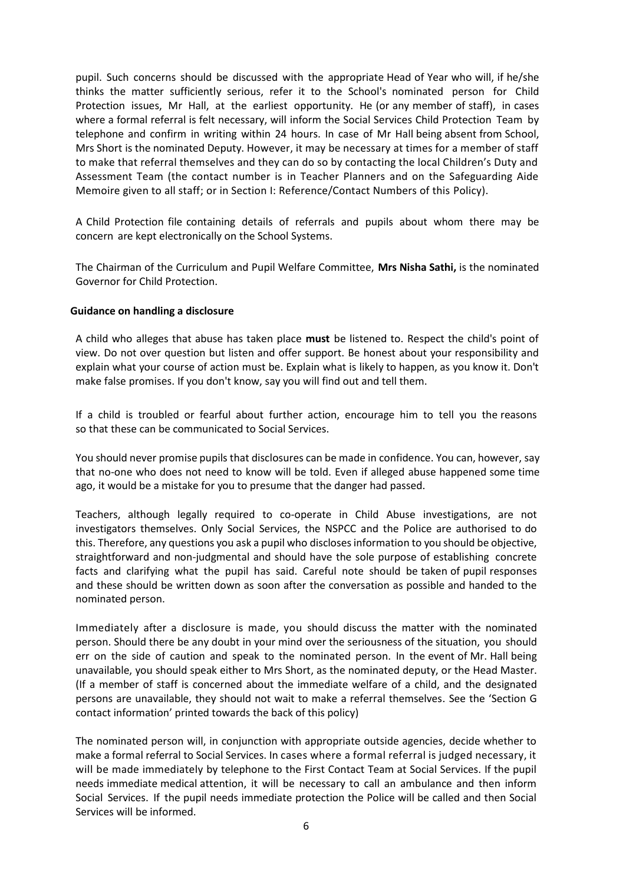pupil. Such concerns should be discussed with the appropriate Head of Year who will, if he/she thinks the matter sufficiently serious, refer it to the School's nominated person for Child Protection issues, Mr Hall, at the earliest opportunity. He (or any member of staff), in cases where a formal referral is felt necessary, will inform the Social Services Child Protection Team by telephone and confirm in writing within 24 hours. In case of Mr Hall being absent from School, Mrs Short is the nominated Deputy. However, it may be necessary at times for a member of staff to make that referral themselves and they can do so by contacting the local Children's Duty and Assessment Team (the contact number is in Teacher Planners and on the Safeguarding Aide Memoire given to all staff; or in Section I: Reference/Contact Numbers of this Policy).

A Child Protection file containing details of referrals and pupils about whom there may be concern are kept electronically on the School Systems.

The Chairman of the Curriculum and Pupil Welfare Committee, **Mrs Nisha Sathi,** is the nominated Governor for Child Protection.

## **Guidance on handling a disclosure**

A child who alleges that abuse has taken place **must** be listened to. Respect the child's point of view. Do not over question but listen and offer support. Be honest about your responsibility and explain what your course of action must be. Explain what is likely to happen, as you know it. Don't make false promises. If you don't know, say you will find out and tell them.

If a child is troubled or fearful about further action, encourage him to tell you the reasons so that these can be communicated to Social Services.

You should never promise pupils that disclosures can be made in confidence. You can, however, say that no-one who does not need to know will be told. Even if alleged abuse happened some time ago, it would be a mistake for you to presume that the danger had passed.

Teachers, although legally required to co-operate in Child Abuse investigations, are not investigators themselves. Only Social Services, the NSPCC and the Police are authorised to do this. Therefore, any questions you ask a pupil who disclosesinformation to you should be objective, straightforward and non-judgmental and should have the sole purpose of establishing concrete facts and clarifying what the pupil has said. Careful note should be taken of pupil responses and these should be written down as soon after the conversation as possible and handed to the nominated person.

Immediately after a disclosure is made, you should discuss the matter with the nominated person. Should there be any doubt in your mind over the seriousness of the situation, you should err on the side of caution and speak to the nominated person. In the event of Mr. Hall being unavailable, you should speak either to Mrs Short, as the nominated deputy, or the Head Master. (If a member of staff is concerned about the immediate welfare of a child, and the designated persons are unavailable, they should not wait to make a referral themselves. See the 'Section G contact information' printed towards the back of this policy)

The nominated person will, in conjunction with appropriate outside agencies, decide whether to make a formal referral to Social Services. In cases where a formal referral is judged necessary, it will be made immediately by telephone to the First Contact Team at Social Services. If the pupil needs immediate medical attention, it will be necessary to call an ambulance and then inform Social Services. If the pupil needs immediate protection the Police will be called and then Social Services will be informed.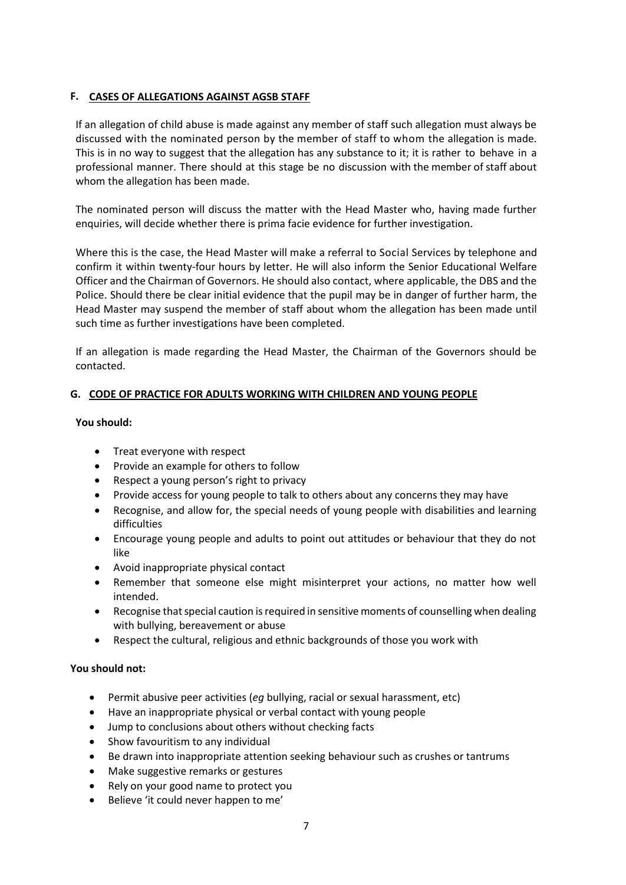## **F. CASES OF ALLEGATIONS AGAINST AGSB STAFF**

If an allegation of child abuse is made against any member of staff such allegation must always be discussed with the nominated person by the member of staff to whom the allegation is made. This is in no way to suggest that the allegation has any substance to it; it is rather to behave in a professional manner. There should at this stage be no discussion with the member of staff about whom the allegation has been made.

The nominated person will discuss the matter with the Head Master who, having made further enquiries, will decide whether there is prima facie evidence for further investigation.

Where this is the case, the Head Master will make a referral to Social Services by telephone and confirm it within twenty-four hours by letter. He will also inform the Senior Educational Welfare Officer and the Chairman of Governors. He should also contact, where applicable, the DBS and the Police. Should there be clear initial evidence that the pupil may be in danger of further harm, the Head Master may suspend the member of staff about whom the allegation has been made until such time as further investigations have been completed.

If an allegation is made regarding the Head Master, the Chairman of the Governors should be contacted.

## **G. CODE OF PRACTICE FOR ADULTS WORKING WITH CHILDREN AND YOUNG PEOPLE**

## **You should:**

- Treat everyone with respect
- Provide an example for others to follow
- Respect a young person's right to privacy
- Provide access for young people to talk to others about any concerns they may have
- Recognise, and allow for, the special needs of young people with disabilities and learning difficulties
- Encourage young people and adults to point out attitudes or behaviour that they do not like
- Avoid inappropriate physical contact
- Remember that someone else might misinterpret your actions, no matter how well intended.
- Recognise that special caution is required in sensitive moments of counselling when dealing with bullying, bereavement or abuse
- Respect the cultural, religious and ethnic backgrounds of those you work with

## **You should not:**

- Permit abusive peer activities (*eg* bullying, racial or sexual harassment, etc)
- Have an inappropriate physical or verbal contact with young people
- Jump to conclusions about others without checking facts
- Show favouritism to any individual
- Be drawn into inappropriate attention seeking behaviour such as crushes or tantrums
- Make suggestive remarks or gestures
- Rely on your good name to protect you
- Believe 'it could never happen to me'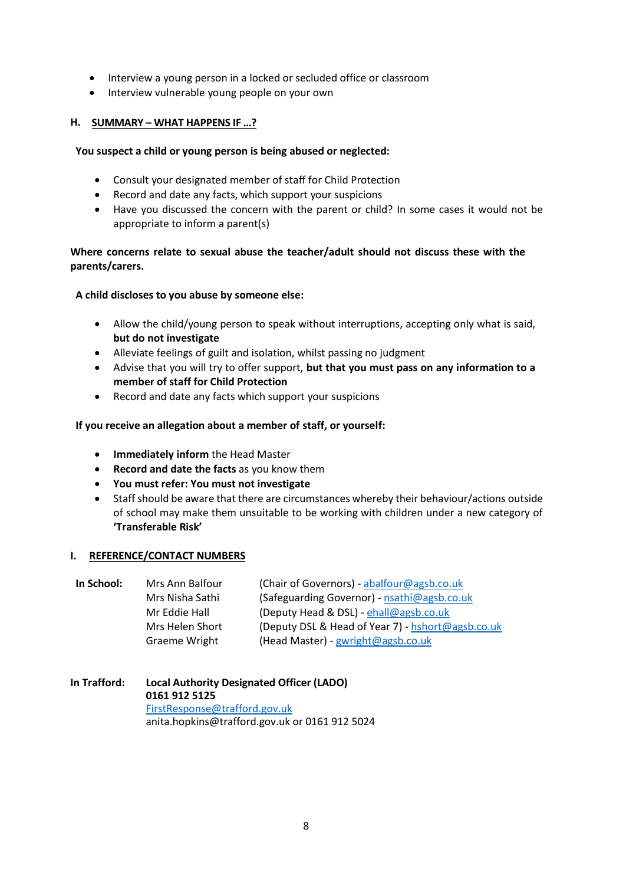- Interview a young person in a locked or secluded office or classroom
- Interview vulnerable young people on your own

## **H. SUMMARY – WHAT HAPPENS IF …?**

## **You suspect a child or young person is being abused or neglected:**

- Consult your designated member of staff for Child Protection
- Record and date any facts, which support your suspicions
- Have you discussed the concern with the parent or child? In some cases it would not be appropriate to inform a parent(s)

## **Where concerns relate to sexual abuse the teacher/adult should not discuss these with the parents/carers.**

## **A child discloses to you abuse by someone else:**

- Allow the child/young person to speak without interruptions, accepting only what is said, **but do not investigate**
- Alleviate feelings of guilt and isolation, whilst passing no judgment
- Advise that you will try to offer support, **but that you must pass on any information to a member of staff for Child Protection**
- Record and date any facts which support your suspicions

## **If you receive an allegation about a member of staff, or yourself:**

- **Immediately inform** the Head Master
- **Record and date the facts** as you know them
- **You must refer: You must not investigate**
- Staff should be aware that there are circumstances whereby their behaviour/actions outside of school may make them unsuitable to be working with children under a new category of **'Transferable Risk'**

## **I. REFERENCE/CONTACT NUMBERS**

| In School: | Mrs Ann Balfour | (Chair of Governors) - abalfour@agsb.co.uk        |
|------------|-----------------|---------------------------------------------------|
|            | Mrs Nisha Sathi | (Safeguarding Governor) - nsathi@agsb.co.uk       |
|            | Mr Eddie Hall   | (Deputy Head & DSL) - ehall@agsb.co.uk            |
|            | Mrs Helen Short | (Deputy DSL & Head of Year 7) - hshort@agsb.co.uk |
|            | Graeme Wright   | (Head Master) - gwright@agsb.co.uk                |
|            |                 |                                                   |

**In Trafford: Local Authority Designated Officer (LADO) 0161 912 5125**  [FirstResponse@trafford.gov.uk](mailto:FirstResponse@trafford.gov.uk) anita.hopkins@trafford.gov.uk or 0161 912 5024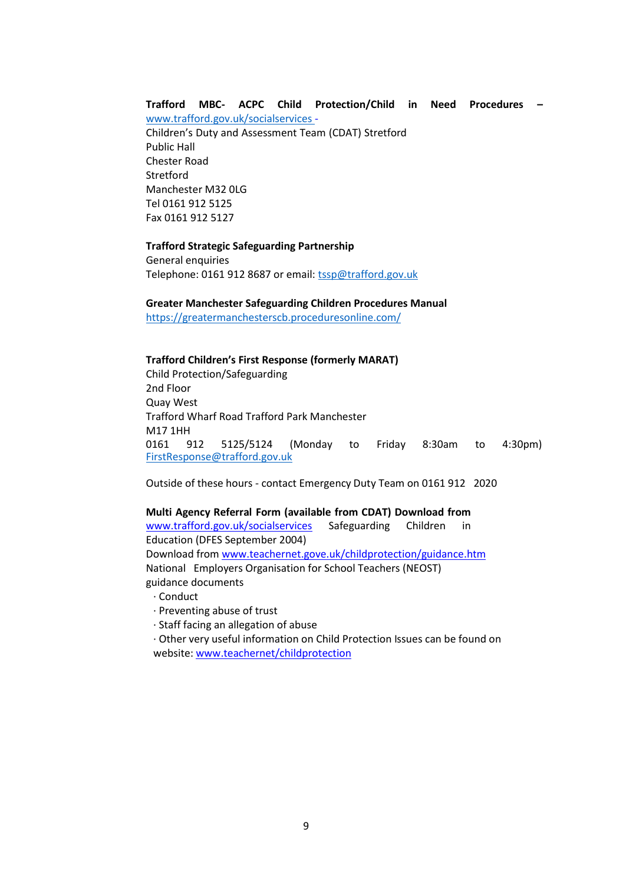## **Trafford MBC- ACPC Child Protection/Child in Need Procedures –**

[www.trafford.gov.uk/socialservices -](http://www.trafford.gov.uk/socialservices) Children's Duty and Assessment Team (CDAT) Stretford Public Hall Chester Road **Stretford** Manchester M32 0LG Tel 0161 912 5125 Fax 0161 912 5127

#### **Trafford Strategic Safeguarding Partnership**

General enquiries Telephone: 0161 912 8687 or email: [tssp@trafford.gov.uk](mailto:tssp@trafford.gov.uk)

#### **Greater Manchester Safeguarding Children Procedures Manual**

<https://greatermanchesterscb.proceduresonline.com/>

#### **Trafford Children's First Response (formerly MARAT)**

Child Protection/Safeguarding 2nd Floor Quay West Trafford Wharf Road Trafford Park Manchester M17 1HH<br>0161 9 0161 912 5125/5124 (Monday to Friday 8:30am to 4:30pm) [FirstResponse@trafford.gov.uk](mailto:Response@trafford.gov.uk?subject=Dear%20Mr%20Hall,)

Outside of these hours - contact Emergency Duty Team on 0161 912 2020

#### **Multi Agency Referral Form (available from CDAT) Download from**

[www.trafford.gov.uk/socialservices](https://enginemail.agsb.co.uk/owa/redir.aspx?C=Ez98fQgsI0WGOCDat1tSN-ax9gLi-M8I85Fu8izJZkVVbYhASLcrGxJiUFD-iB-QQOS8WyJODXs.&URL=http%3a%2f%2fwww.trafford.gov.uk%2fsocialservices) Safeguarding Children in Education (DFES September 2004) Download from [www.teachernet.gove.uk/childprotection/guidance.htm](https://enginemail.agsb.co.uk/owa/redir.aspx?C=Ez98fQgsI0WGOCDat1tSN-ax9gLi-M8I85Fu8izJZkVVbYhASLcrGxJiUFD-iB-QQOS8WyJODXs.&URL=http%3a%2f%2fwww.teachernet.gove.uk%2fchildprotection%2fguidance.htm) National Employers Organisation for School Teachers (NEOST) guidance documents

- · Conduct
- · Preventing abuse of trust
- · Staff facing an allegation of abuse
- · Other very useful information on Child Protection Issues can be found on website[: www.teachernet/childprotection](https://enginemail.agsb.co.uk/owa/redir.aspx?C=Ez98fQgsI0WGOCDat1tSN-ax9gLi-M8I85Fu8izJZkVVbYhASLcrGxJiUFD-iB-QQOS8WyJODXs.&URL=http%3a%2f%2fwww.teachernet%2fchildprotection)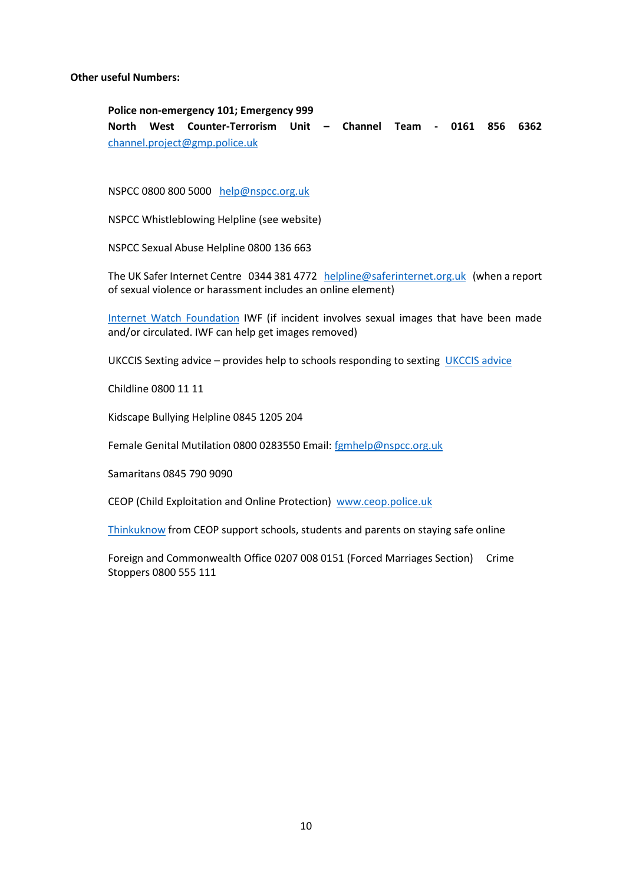**Other useful Numbers:**

**Police non-emergency 101; Emergency 999 North West Counter-Terrorism Unit – Channel Team - 0161 856 6362**  [channel.project@gmp.police.uk](mailto:channel.project@gmp.police.uk)

NSPCC 0800 800 5000 [help@nspcc.org.uk](mailto:help@nspcc.org.uk)

NSPCC Whistleblowing Helpline (see website)

NSPCC Sexual Abuse Helpline 0800 136 663

The UK Safer Internet Centre 0344 381 4772 [helpline@saferinternet.org.uk](mailto:helpline@saferinternet.org.uk) (when a report of sexual violence or harassment includes an online element)

[Internet Watch Foundation](file:///C:/Users/EHall/Downloads/Internet%20Watch%20Foundation) IWF (if incident involves sexual images that have been made and/or circulated. IWF can help get images removed)

UKCCIS Sexting advice - provides help to schools responding to sexting [UKCCIS advice](file:///C:/Users/EHall/Downloads/UKCCIS%20advice)

Childline 0800 11 11

Kidscape Bullying Helpline 0845 1205 204

Female Genital Mutilation 0800 0283550 Email: [fgmhelp@nspcc.org.uk](mailto:fgmhelp@nspcc.org.uk)

Samaritans 0845 790 9090

CEOP (Child Exploitation and Online Protection) [www.ceop.police.uk](file:///C:/Users/EHall/Downloads/www.ceop.police.uk)

[Thinkuknow](file:///C:/Users/EHall/Downloads/Thinkuknow) from CEOP support schools, students and parents on staying safe online

Foreign and Commonwealth Office 0207 008 0151 (Forced Marriages Section) Crime Stoppers 0800 555 111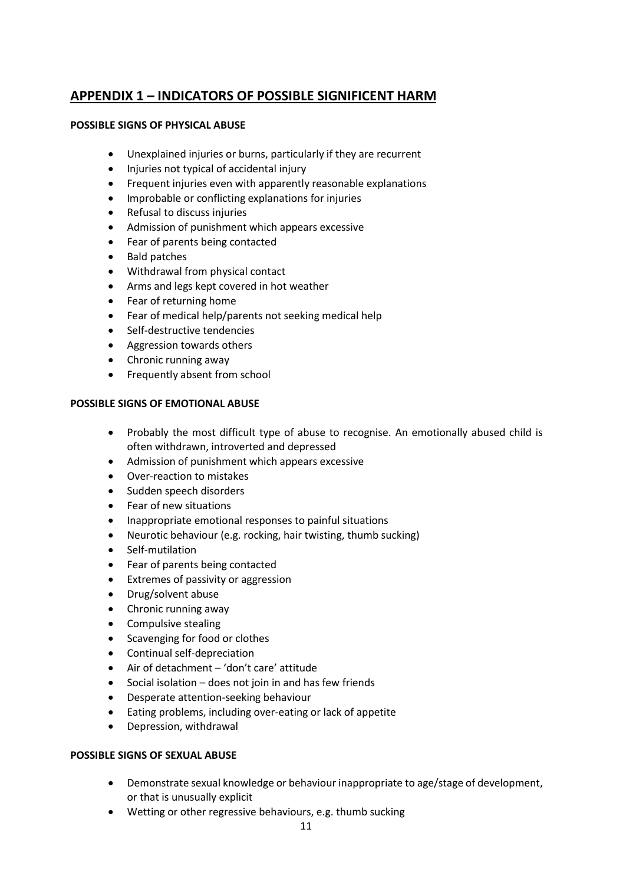## **APPENDIX 1 – INDICATORS OF POSSIBLE SIGNIFICENT HARM**

## **POSSIBLE SIGNS OF PHYSICAL ABUSE**

- Unexplained injuries or burns, particularly if they are recurrent
- Injuries not typical of accidental injury
- Frequent injuries even with apparently reasonable explanations
- Improbable or conflicting explanations for injuries
- Refusal to discuss injuries
- Admission of punishment which appears excessive
- Fear of parents being contacted
- Bald patches
- Withdrawal from physical contact
- Arms and legs kept covered in hot weather
- Fear of returning home
- Fear of medical help/parents not seeking medical help
- Self-destructive tendencies
- Aggression towards others
- Chronic running away
- Frequently absent from school

## **POSSIBLE SIGNS OF EMOTIONAL ABUSE**

- Probably the most difficult type of abuse to recognise. An emotionally abused child is often withdrawn, introverted and depressed
- Admission of punishment which appears excessive
- Over-reaction to mistakes
- Sudden speech disorders
- Fear of new situations
- Inappropriate emotional responses to painful situations
- Neurotic behaviour (e.g. rocking, hair twisting, thumb sucking)
- Self-mutilation
- Fear of parents being contacted
- Extremes of passivity or aggression
- Drug/solvent abuse
- Chronic running away
- Compulsive stealing
- Scavenging for food or clothes
- Continual self-depreciation
- Air of detachment 'don't care' attitude
- Social isolation does not join in and has few friends
- Desperate attention-seeking behaviour
- Eating problems, including over-eating or lack of appetite
- Depression, withdrawal

## **POSSIBLE SIGNS OF SEXUAL ABUSE**

- Demonstrate sexual knowledge or behaviour inappropriate to age/stage of development, or that is unusually explicit
- Wetting or other regressive behaviours, e.g. thumb sucking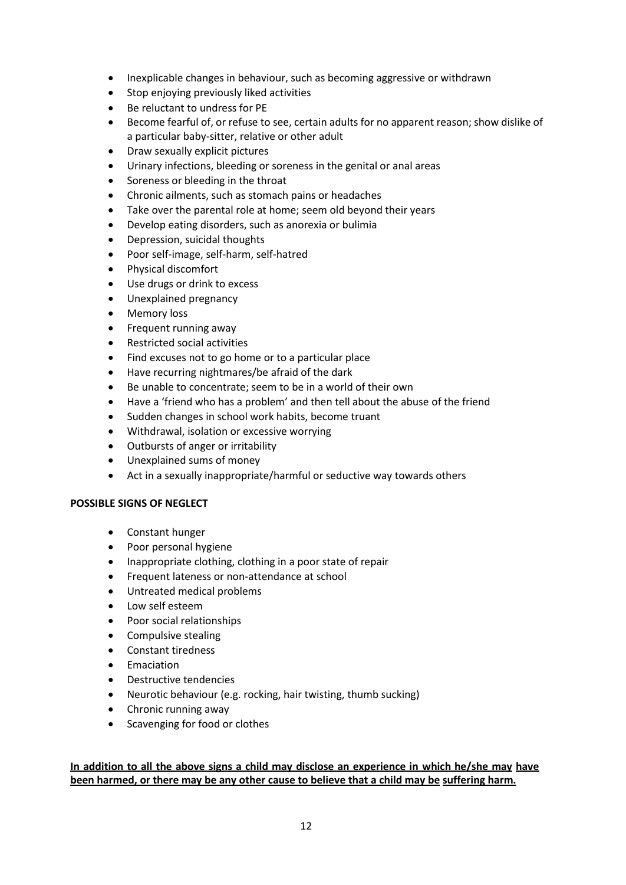- Inexplicable changes in behaviour, such as becoming aggressive or withdrawn
- Stop enjoying previously liked activities
- Be reluctant to undress for PE
- Become fearful of, or refuse to see, certain adults for no apparent reason; show dislike of a particular baby-sitter, relative or other adult
- Draw sexually explicit pictures
- Urinary infections, bleeding or soreness in the genital or anal areas
- Soreness or bleeding in the throat
- Chronic ailments, such as stomach pains or headaches
- Take over the parental role at home; seem old beyond their years
- Develop eating disorders, such as anorexia or bulimia
- Depression, suicidal thoughts
- Poor self-image, self-harm, self-hatred
- Physical discomfort
- Use drugs or drink to excess
- Unexplained pregnancy
- Memory loss
- Frequent running away
- Restricted social activities
- Find excuses not to go home or to a particular place
- Have recurring nightmares/be afraid of the dark
- Be unable to concentrate; seem to be in a world of their own
- Have a 'friend who has a problem' and then tell about the abuse of the friend
- Sudden changes in school work habits, become truant
- Withdrawal, isolation or excessive worrying
- Outbursts of anger or irritability
- Unexplained sums of money
- Act in a sexually inappropriate/harmful or seductive way towards others

## **POSSIBLE SIGNS OF NEGLECT**

- Constant hunger
- Poor personal hygiene
- Inappropriate clothing, clothing in a poor state of repair
- Frequent lateness or non-attendance at school
- Untreated medical problems
- Low self esteem
- Poor social relationships
- Compulsive stealing
- Constant tiredness
- Emaciation
- Destructive tendencies
- Neurotic behaviour (e.g. rocking, hair twisting, thumb sucking)
- Chronic running away
- Scavenging for food or clothes

## **In addition to all the above signs a child may disclose an experience in which he/she may have been harmed, or there may be any other cause to believe that a child may be suffering harm.**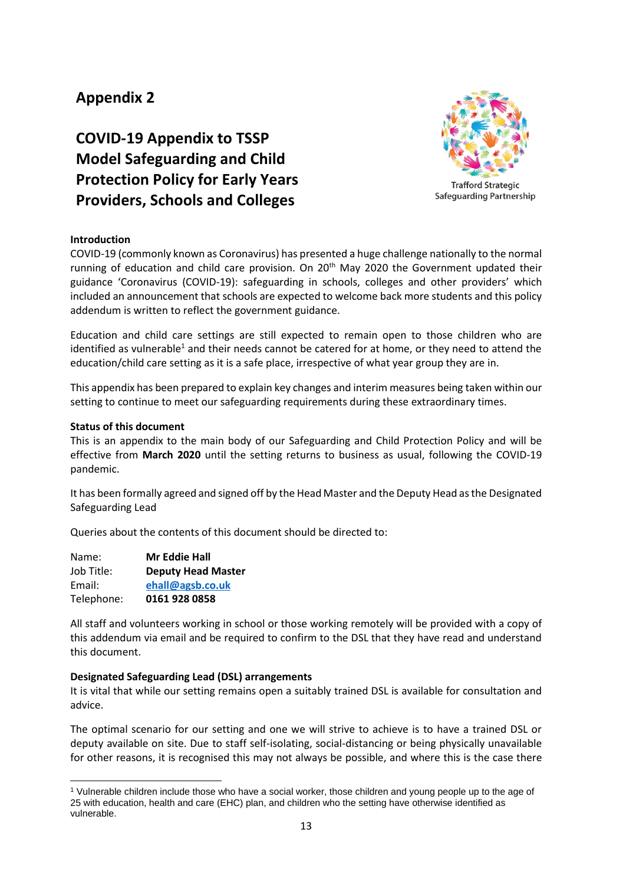## **Appendix 2**

# **COVID-19 Appendix to TSSP Model Safeguarding and Child Protection Policy for Early Years Providers, Schools and Colleges**



## **Introduction**

COVID-19 (commonly known as Coronavirus) has presented a huge challenge nationally to the normal running of education and child care provision. On 20<sup>th</sup> May 2020 the Government updated their guidance 'Coronavirus (COVID-19): safeguarding in schools, colleges and other providers' which included an announcement that schools are expected to welcome back more students and this policy addendum is written to reflect the government guidance.

Education and child care settings are still expected to remain open to those children who are identified as vulnerable<sup>1</sup> and their needs cannot be catered for at home, or they need to attend the education/child care setting as it is a safe place, irrespective of what year group they are in.

This appendix has been prepared to explain key changes and interim measures being taken within our setting to continue to meet our safeguarding requirements during these extraordinary times.

## **Status of this document**

This is an appendix to the main body of our Safeguarding and Child Protection Policy and will be effective from **March 2020** until the setting returns to business as usual, following the COVID-19 pandemic.

It has been formally agreed and signed off by the Head Master and the Deputy Head as the Designated Safeguarding Lead

Queries about the contents of this document should be directed to:

| Name:      | <b>Mr Eddie Hall</b>      |
|------------|---------------------------|
| Job Title: | <b>Deputy Head Master</b> |
| Email:     | ehall@agsb.co.uk          |
| Telephone: | 0161 928 0858             |

All staff and volunteers working in school or those working remotely will be provided with a copy of this addendum via email and be required to confirm to the DSL that they have read and understand this document.

## **Designated Safeguarding Lead (DSL) arrangements**

It is vital that while our setting remains open a suitably trained DSL is available for consultation and advice.

The optimal scenario for our setting and one we will strive to achieve is to have a trained DSL or deputy available on site. Due to staff self-isolating, social-distancing or being physically unavailable for other reasons, it is recognised this may not always be possible, and where this is the case there

 $\ddot{\phantom{a}}$ <sup>1</sup> Vulnerable children include those who have a social worker, those children and young people up to the age of 25 with education, health and care (EHC) plan, and children who the setting have otherwise identified as vulnerable.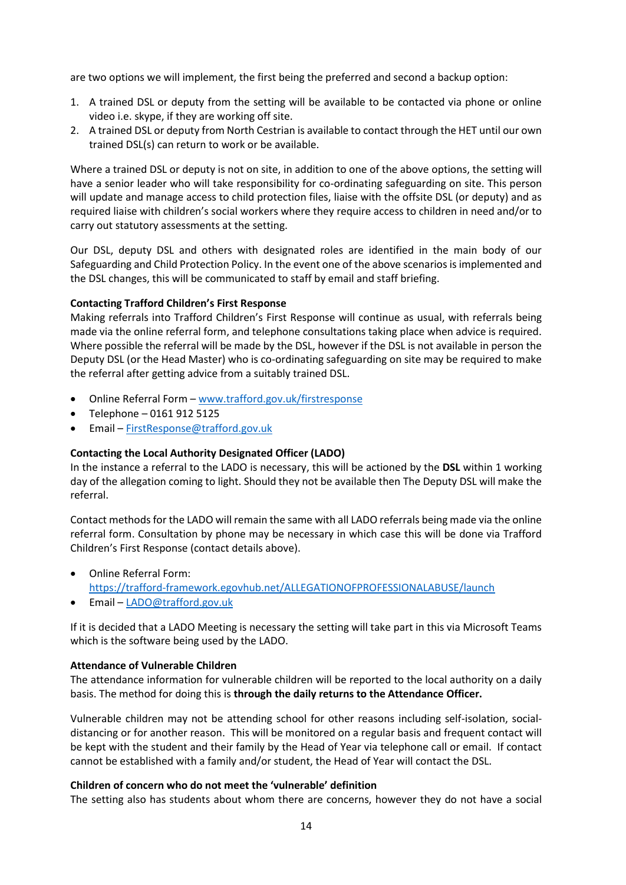are two options we will implement, the first being the preferred and second a backup option:

- 1. A trained DSL or deputy from the setting will be available to be contacted via phone or online video i.e. skype, if they are working off site.
- 2. A trained DSL or deputy from North Cestrian is available to contact through the HET until our own trained DSL(s) can return to work or be available.

Where a trained DSL or deputy is not on site, in addition to one of the above options, the setting will have a senior leader who will take responsibility for co-ordinating safeguarding on site. This person will update and manage access to child protection files, liaise with the offsite DSL (or deputy) and as required liaise with children's social workers where they require access to children in need and/or to carry out statutory assessments at the setting.

Our DSL, deputy DSL and others with designated roles are identified in the main body of our Safeguarding and Child Protection Policy. In the event one of the above scenarios is implemented and the DSL changes, this will be communicated to staff by email and staff briefing.

## **Contacting Trafford Children's First Response**

Making referrals into Trafford Children's First Response will continue as usual, with referrals being made via the online referral form, and telephone consultations taking place when advice is required. Where possible the referral will be made by the DSL, however if the DSL is not available in person the Deputy DSL (or the Head Master) who is co-ordinating safeguarding on site may be required to make the referral after getting advice from a suitably trained DSL.

- Online Referral Form [www.trafford.gov.uk/firstresponse](http://www.trafford.gov.uk/firstresponse)
- Telephone 0161 912 5125
- Email [FirstResponse@trafford.gov.uk](mailto:FirstResponse@trafford.gov.uk)

## **Contacting the Local Authority Designated Officer (LADO)**

In the instance a referral to the LADO is necessary, this will be actioned by the **DSL** within 1 working day of the allegation coming to light. Should they not be available then The Deputy DSL will make the referral.

Contact methods for the LADO will remain the same with all LADO referrals being made via the online referral form. Consultation by phone may be necessary in which case this will be done via Trafford Children's First Response (contact details above).

- Online Referral Form: <https://trafford-framework.egovhub.net/ALLEGATIONOFPROFESSIONALABUSE/launch>
- Email [LADO@trafford.gov.uk](mailto:LADO@trafford.gov.uk)

If it is decided that a LADO Meeting is necessary the setting will take part in this via Microsoft Teams which is the software being used by the LADO.

## **Attendance of Vulnerable Children**

The attendance information for vulnerable children will be reported to the local authority on a daily basis. The method for doing this is **through the daily returns to the Attendance Officer.**

Vulnerable children may not be attending school for other reasons including self-isolation, socialdistancing or for another reason. This will be monitored on a regular basis and frequent contact will be kept with the student and their family by the Head of Year via telephone call or email. If contact cannot be established with a family and/or student, the Head of Year will contact the DSL.

## **Children of concern who do not meet the 'vulnerable' definition**

The setting also has students about whom there are concerns, however they do not have a social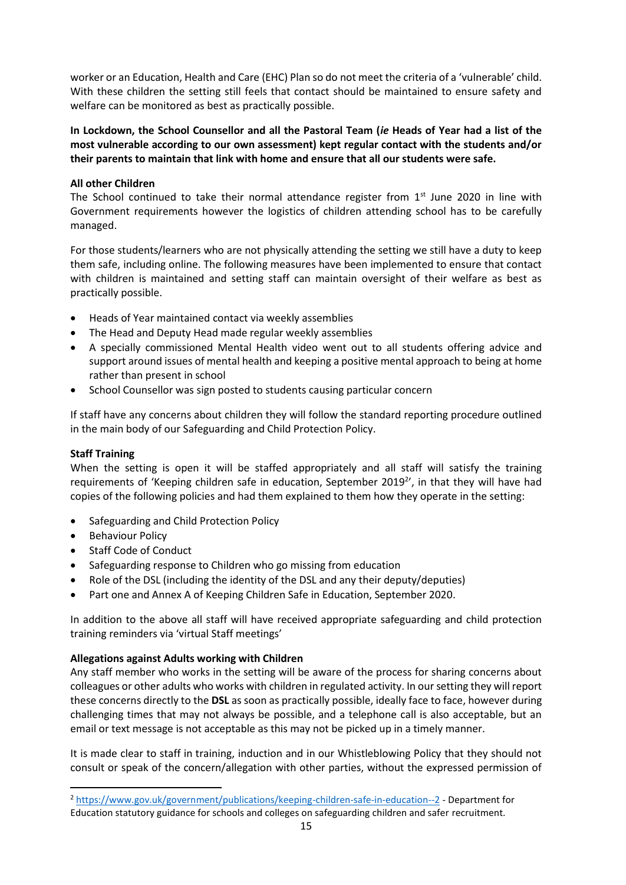worker or an Education, Health and Care (EHC) Plan so do not meet the criteria of a 'vulnerable' child. With these children the setting still feels that contact should be maintained to ensure safety and welfare can be monitored as best as practically possible.

**In Lockdown, the School Counsellor and all the Pastoral Team (***ie* **Heads of Year had a list of the most vulnerable according to our own assessment) kept regular contact with the students and/or their parents to maintain that link with home and ensure that all our students were safe.**

## **All other Children**

The School continued to take their normal attendance register from  $1<sup>st</sup>$  June 2020 in line with Government requirements however the logistics of children attending school has to be carefully managed.

For those students/learners who are not physically attending the setting we still have a duty to keep them safe, including online. The following measures have been implemented to ensure that contact with children is maintained and setting staff can maintain oversight of their welfare as best as practically possible.

- Heads of Year maintained contact via weekly assemblies
- The Head and Deputy Head made regular weekly assemblies
- A specially commissioned Mental Health video went out to all students offering advice and support around issues of mental health and keeping a positive mental approach to being at home rather than present in school
- School Counsellor was sign posted to students causing particular concern

If staff have any concerns about children they will follow the standard reporting procedure outlined in the main body of our Safeguarding and Child Protection Policy.

## **Staff Training**

When the setting is open it will be staffed appropriately and all staff will satisfy the training requirements of 'Keeping children safe in education, September 2019<sup>2</sup>', in that they will have had copies of the following policies and had them explained to them how they operate in the setting:

- Safeguarding and Child Protection Policy
- Behaviour Policy

 $\overline{a}$ 

- **Staff Code of Conduct**
- Safeguarding response to Children who go missing from education
- Role of the DSL (including the identity of the DSL and any their deputy/deputies)
- Part one and Annex A of Keeping Children Safe in Education, September 2020.

In addition to the above all staff will have received appropriate safeguarding and child protection training reminders via 'virtual Staff meetings'

## **Allegations against Adults working with Children**

Any staff member who works in the setting will be aware of the process for sharing concerns about colleagues or other adults who works with children in regulated activity. In our setting they will report these concerns directly to the **DSL** as soon as practically possible, ideally face to face, however during challenging times that may not always be possible, and a telephone call is also acceptable, but an email or text message is not acceptable as this may not be picked up in a timely manner.

It is made clear to staff in training, induction and in our Whistleblowing Policy that they should not consult or speak of the concern/allegation with other parties, without the expressed permission of

<sup>2</sup> <https://www.gov.uk/government/publications/keeping-children-safe-in-education--2> - Department for Education statutory guidance for schools and colleges on safeguarding children and safer recruitment.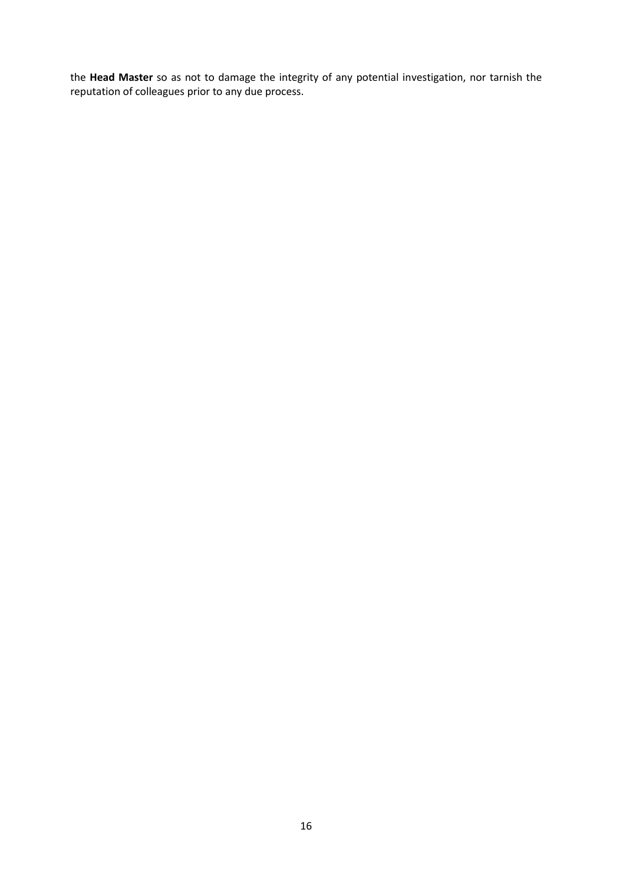the **Head Master** so as not to damage the integrity of any potential investigation, nor tarnish the reputation of colleagues prior to any due process.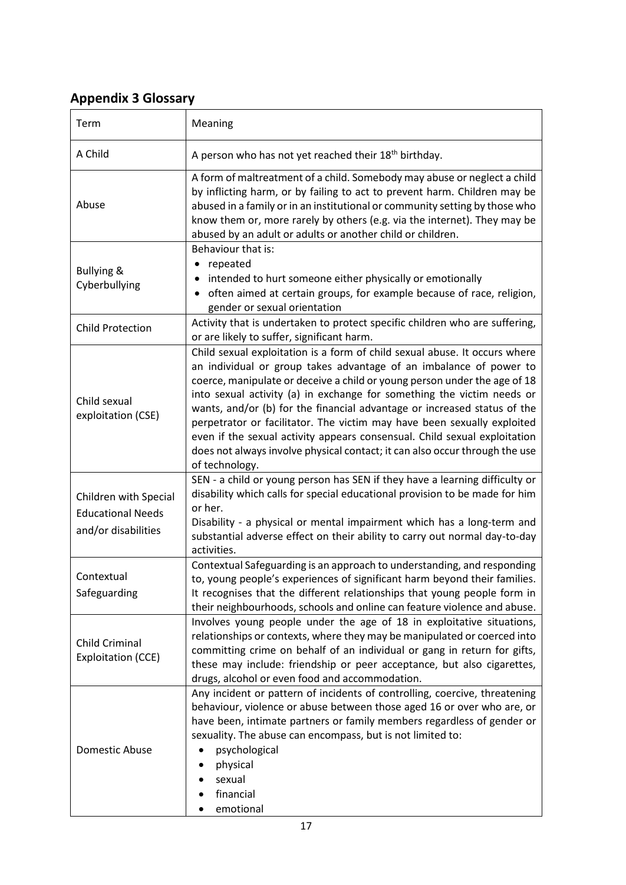## **Appendix 3 Glossary**

| Term                                                                     | Meaning                                                                                                                                                                                                                                                                                                                                                                                                                                                                                                                                                                                                                                      |
|--------------------------------------------------------------------------|----------------------------------------------------------------------------------------------------------------------------------------------------------------------------------------------------------------------------------------------------------------------------------------------------------------------------------------------------------------------------------------------------------------------------------------------------------------------------------------------------------------------------------------------------------------------------------------------------------------------------------------------|
| A Child                                                                  | A person who has not yet reached their 18 <sup>th</sup> birthday.                                                                                                                                                                                                                                                                                                                                                                                                                                                                                                                                                                            |
| Abuse                                                                    | A form of maltreatment of a child. Somebody may abuse or neglect a child<br>by inflicting harm, or by failing to act to prevent harm. Children may be<br>abused in a family or in an institutional or community setting by those who<br>know them or, more rarely by others (e.g. via the internet). They may be<br>abused by an adult or adults or another child or children.                                                                                                                                                                                                                                                               |
| <b>Bullying &amp;</b><br>Cyberbullying                                   | Behaviour that is:<br>repeated<br>٠<br>intended to hurt someone either physically or emotionally<br>often aimed at certain groups, for example because of race, religion,<br>gender or sexual orientation                                                                                                                                                                                                                                                                                                                                                                                                                                    |
| <b>Child Protection</b>                                                  | Activity that is undertaken to protect specific children who are suffering,<br>or are likely to suffer, significant harm.                                                                                                                                                                                                                                                                                                                                                                                                                                                                                                                    |
| Child sexual<br>exploitation (CSE)                                       | Child sexual exploitation is a form of child sexual abuse. It occurs where<br>an individual or group takes advantage of an imbalance of power to<br>coerce, manipulate or deceive a child or young person under the age of 18<br>into sexual activity (a) in exchange for something the victim needs or<br>wants, and/or (b) for the financial advantage or increased status of the<br>perpetrator or facilitator. The victim may have been sexually exploited<br>even if the sexual activity appears consensual. Child sexual exploitation<br>does not always involve physical contact; it can also occur through the use<br>of technology. |
| Children with Special<br><b>Educational Needs</b><br>and/or disabilities | SEN - a child or young person has SEN if they have a learning difficulty or<br>disability which calls for special educational provision to be made for him<br>or her.<br>Disability - a physical or mental impairment which has a long-term and<br>substantial adverse effect on their ability to carry out normal day-to-day<br>activities.                                                                                                                                                                                                                                                                                                 |
| Contextual<br>Safeguarding                                               | Contextual Safeguarding is an approach to understanding, and responding<br>to, young people's experiences of significant harm beyond their families.<br>It recognises that the different relationships that young people form in<br>their neighbourhoods, schools and online can feature violence and abuse.                                                                                                                                                                                                                                                                                                                                 |
| <b>Child Criminal</b><br>Exploitation (CCE)                              | Involves young people under the age of 18 in exploitative situations,<br>relationships or contexts, where they may be manipulated or coerced into<br>committing crime on behalf of an individual or gang in return for gifts,<br>these may include: friendship or peer acceptance, but also cigarettes,<br>drugs, alcohol or even food and accommodation.                                                                                                                                                                                                                                                                                    |
| Domestic Abuse                                                           | Any incident or pattern of incidents of controlling, coercive, threatening<br>behaviour, violence or abuse between those aged 16 or over who are, or<br>have been, intimate partners or family members regardless of gender or<br>sexuality. The abuse can encompass, but is not limited to:<br>psychological<br>physical<br>sexual<br>financial<br>emotional                                                                                                                                                                                                                                                                                |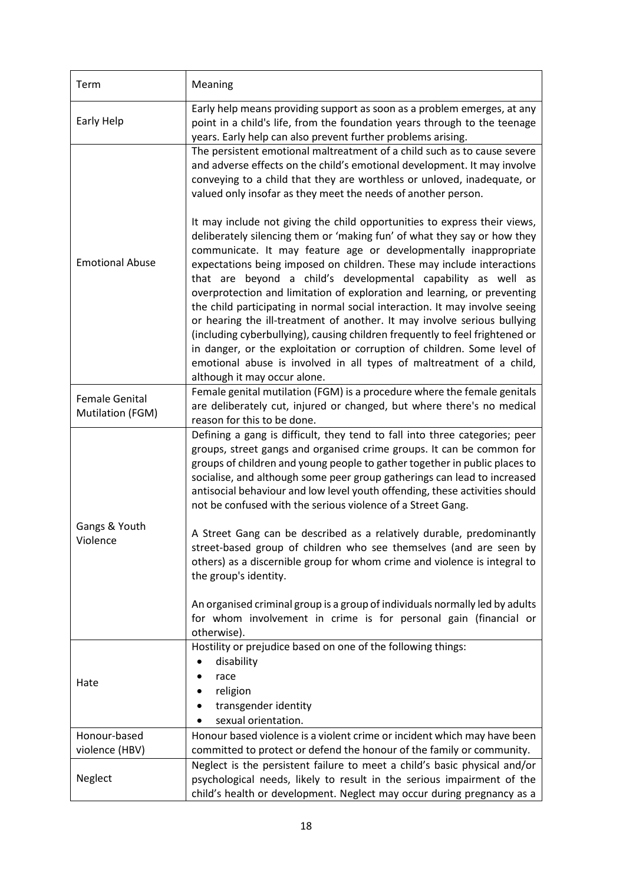| Term                                                                                                                                                                                                                                     | Meaning                                                                                                                                                                                                                                                                                                                                                                                                                                                                                                                                                                                                                                                                                                                                                                                                                                                                        |
|------------------------------------------------------------------------------------------------------------------------------------------------------------------------------------------------------------------------------------------|--------------------------------------------------------------------------------------------------------------------------------------------------------------------------------------------------------------------------------------------------------------------------------------------------------------------------------------------------------------------------------------------------------------------------------------------------------------------------------------------------------------------------------------------------------------------------------------------------------------------------------------------------------------------------------------------------------------------------------------------------------------------------------------------------------------------------------------------------------------------------------|
| Early Help                                                                                                                                                                                                                               | Early help means providing support as soon as a problem emerges, at any<br>point in a child's life, from the foundation years through to the teenage<br>years. Early help can also prevent further problems arising.                                                                                                                                                                                                                                                                                                                                                                                                                                                                                                                                                                                                                                                           |
|                                                                                                                                                                                                                                          | The persistent emotional maltreatment of a child such as to cause severe<br>and adverse effects on the child's emotional development. It may involve<br>conveying to a child that they are worthless or unloved, inadequate, or<br>valued only insofar as they meet the needs of another person.                                                                                                                                                                                                                                                                                                                                                                                                                                                                                                                                                                               |
| <b>Emotional Abuse</b>                                                                                                                                                                                                                   | It may include not giving the child opportunities to express their views,<br>deliberately silencing them or 'making fun' of what they say or how they<br>communicate. It may feature age or developmentally inappropriate<br>expectations being imposed on children. These may include interactions<br>that are beyond a child's developmental capability as well as<br>overprotection and limitation of exploration and learning, or preventing<br>the child participating in normal social interaction. It may involve seeing<br>or hearing the ill-treatment of another. It may involve serious bullying<br>(including cyberbullying), causing children frequently to feel frightened or<br>in danger, or the exploitation or corruption of children. Some level of<br>emotional abuse is involved in all types of maltreatment of a child,<br>although it may occur alone. |
| Female Genital<br>Mutilation (FGM)                                                                                                                                                                                                       | Female genital mutilation (FGM) is a procedure where the female genitals<br>are deliberately cut, injured or changed, but where there's no medical<br>reason for this to be done.                                                                                                                                                                                                                                                                                                                                                                                                                                                                                                                                                                                                                                                                                              |
|                                                                                                                                                                                                                                          | Defining a gang is difficult, they tend to fall into three categories; peer<br>groups, street gangs and organised crime groups. It can be common for<br>groups of children and young people to gather together in public places to<br>socialise, and although some peer group gatherings can lead to increased<br>antisocial behaviour and low level youth offending, these activities should<br>not be confused with the serious violence of a Street Gang.                                                                                                                                                                                                                                                                                                                                                                                                                   |
| Gangs & Youth<br>Violence                                                                                                                                                                                                                | A Street Gang can be described as a relatively durable, predominantly<br>street-based group of children who see themselves (and are seen by<br>others) as a discernible group for whom crime and violence is integral to<br>the group's identity.                                                                                                                                                                                                                                                                                                                                                                                                                                                                                                                                                                                                                              |
|                                                                                                                                                                                                                                          | An organised criminal group is a group of individuals normally led by adults<br>for whom involvement in crime is for personal gain (financial or<br>otherwise).                                                                                                                                                                                                                                                                                                                                                                                                                                                                                                                                                                                                                                                                                                                |
| Hate                                                                                                                                                                                                                                     | Hostility or prejudice based on one of the following things:<br>disability<br>race<br>religion<br>transgender identity<br>sexual orientation.                                                                                                                                                                                                                                                                                                                                                                                                                                                                                                                                                                                                                                                                                                                                  |
| Honour-based                                                                                                                                                                                                                             | Honour based violence is a violent crime or incident which may have been                                                                                                                                                                                                                                                                                                                                                                                                                                                                                                                                                                                                                                                                                                                                                                                                       |
| violence (HBV)                                                                                                                                                                                                                           | committed to protect or defend the honour of the family or community.                                                                                                                                                                                                                                                                                                                                                                                                                                                                                                                                                                                                                                                                                                                                                                                                          |
| Neglect is the persistent failure to meet a child's basic physical and/or<br>Neglect<br>psychological needs, likely to result in the serious impairment of the<br>child's health or development. Neglect may occur during pregnancy as a |                                                                                                                                                                                                                                                                                                                                                                                                                                                                                                                                                                                                                                                                                                                                                                                                                                                                                |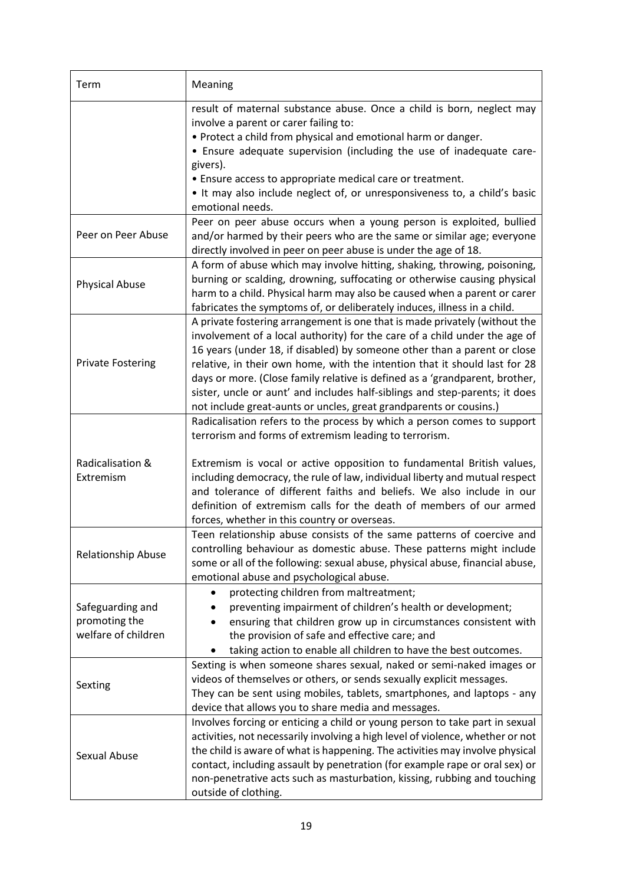| Term                                                     | Meaning                                                                                                                                                                                                                                                                                                                                                                                                                                                                                                                                                |
|----------------------------------------------------------|--------------------------------------------------------------------------------------------------------------------------------------------------------------------------------------------------------------------------------------------------------------------------------------------------------------------------------------------------------------------------------------------------------------------------------------------------------------------------------------------------------------------------------------------------------|
|                                                          | result of maternal substance abuse. Once a child is born, neglect may<br>involve a parent or carer failing to:<br>. Protect a child from physical and emotional harm or danger.<br>• Ensure adequate supervision (including the use of inadequate care-<br>givers).<br>• Ensure access to appropriate medical care or treatment.<br>. It may also include neglect of, or unresponsiveness to, a child's basic<br>emotional needs.                                                                                                                      |
| Peer on Peer Abuse                                       | Peer on peer abuse occurs when a young person is exploited, bullied<br>and/or harmed by their peers who are the same or similar age; everyone<br>directly involved in peer on peer abuse is under the age of 18.                                                                                                                                                                                                                                                                                                                                       |
| <b>Physical Abuse</b>                                    | A form of abuse which may involve hitting, shaking, throwing, poisoning,<br>burning or scalding, drowning, suffocating or otherwise causing physical<br>harm to a child. Physical harm may also be caused when a parent or carer<br>fabricates the symptoms of, or deliberately induces, illness in a child.                                                                                                                                                                                                                                           |
| <b>Private Fostering</b>                                 | A private fostering arrangement is one that is made privately (without the<br>involvement of a local authority) for the care of a child under the age of<br>16 years (under 18, if disabled) by someone other than a parent or close<br>relative, in their own home, with the intention that it should last for 28<br>days or more. (Close family relative is defined as a 'grandparent, brother,<br>sister, uncle or aunt' and includes half-siblings and step-parents; it does<br>not include great-aunts or uncles, great grandparents or cousins.) |
| Radicalisation &<br>Extremism                            | Radicalisation refers to the process by which a person comes to support<br>terrorism and forms of extremism leading to terrorism.<br>Extremism is vocal or active opposition to fundamental British values,<br>including democracy, the rule of law, individual liberty and mutual respect<br>and tolerance of different faiths and beliefs. We also include in our<br>definition of extremism calls for the death of members of our armed<br>forces, whether in this country or overseas.                                                             |
| <b>Relationship Abuse</b>                                | Teen relationship abuse consists of the same patterns of coercive and<br>controlling behaviour as domestic abuse. These patterns might include<br>some or all of the following: sexual abuse, physical abuse, financial abuse,<br>emotional abuse and psychological abuse.                                                                                                                                                                                                                                                                             |
| Safeguarding and<br>promoting the<br>welfare of children | protecting children from maltreatment;<br>preventing impairment of children's health or development;<br>ensuring that children grow up in circumstances consistent with<br>the provision of safe and effective care; and<br>taking action to enable all children to have the best outcomes.                                                                                                                                                                                                                                                            |
| Sexting                                                  | Sexting is when someone shares sexual, naked or semi-naked images or<br>videos of themselves or others, or sends sexually explicit messages.<br>They can be sent using mobiles, tablets, smartphones, and laptops - any<br>device that allows you to share media and messages.                                                                                                                                                                                                                                                                         |
| Sexual Abuse                                             | Involves forcing or enticing a child or young person to take part in sexual<br>activities, not necessarily involving a high level of violence, whether or not<br>the child is aware of what is happening. The activities may involve physical<br>contact, including assault by penetration (for example rape or oral sex) or<br>non-penetrative acts such as masturbation, kissing, rubbing and touching<br>outside of clothing.                                                                                                                       |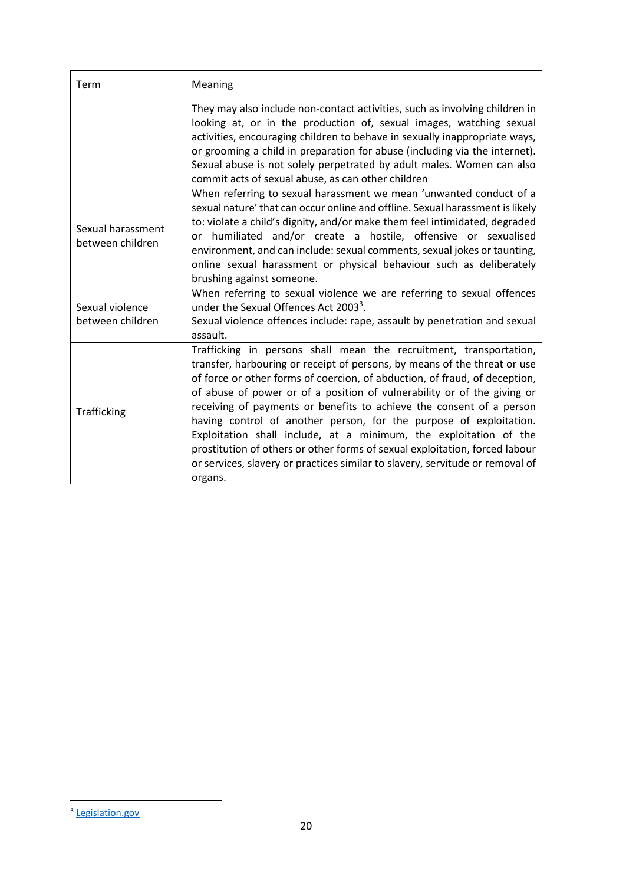| Term                                  | Meaning                                                                                                                                                                                                                                                                                                                                                                                                                                                                                                                                                                                                                                                                                                |
|---------------------------------------|--------------------------------------------------------------------------------------------------------------------------------------------------------------------------------------------------------------------------------------------------------------------------------------------------------------------------------------------------------------------------------------------------------------------------------------------------------------------------------------------------------------------------------------------------------------------------------------------------------------------------------------------------------------------------------------------------------|
|                                       | They may also include non-contact activities, such as involving children in<br>looking at, or in the production of, sexual images, watching sexual<br>activities, encouraging children to behave in sexually inappropriate ways,<br>or grooming a child in preparation for abuse (including via the internet).<br>Sexual abuse is not solely perpetrated by adult males. Women can also<br>commit acts of sexual abuse, as can other children                                                                                                                                                                                                                                                          |
| Sexual harassment<br>between children | When referring to sexual harassment we mean 'unwanted conduct of a<br>sexual nature' that can occur online and offline. Sexual harassment is likely<br>to: violate a child's dignity, and/or make them feel intimidated, degraded<br>humiliated and/or create a hostile, offensive or sexualised<br>or<br>environment, and can include: sexual comments, sexual jokes or taunting,<br>online sexual harassment or physical behaviour such as deliberately<br>brushing against someone.                                                                                                                                                                                                                 |
| Sexual violence<br>between children   | When referring to sexual violence we are referring to sexual offences<br>under the Sexual Offences Act 2003 <sup>3</sup> .<br>Sexual violence offences include: rape, assault by penetration and sexual<br>assault.                                                                                                                                                                                                                                                                                                                                                                                                                                                                                    |
| Trafficking                           | Trafficking in persons shall mean the recruitment, transportation,<br>transfer, harbouring or receipt of persons, by means of the threat or use<br>of force or other forms of coercion, of abduction, of fraud, of deception,<br>of abuse of power or of a position of vulnerability or of the giving or<br>receiving of payments or benefits to achieve the consent of a person<br>having control of another person, for the purpose of exploitation.<br>Exploitation shall include, at a minimum, the exploitation of the<br>prostitution of others or other forms of sexual exploitation, forced labour<br>or services, slavery or practices similar to slavery, servitude or removal of<br>organs. |

<sup>&</sup>lt;sup>3</sup> [Legislation.gov](https://www.legislation.gov.uk/ukpga/2003/42/contents)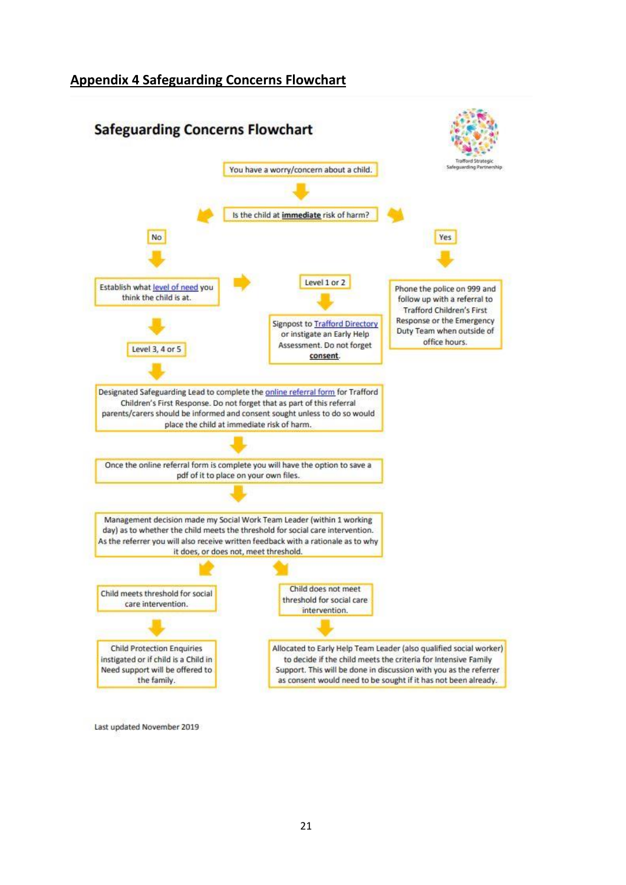## **Appendix 4 Safeguarding Concerns Flowchart**



Last updated November 2019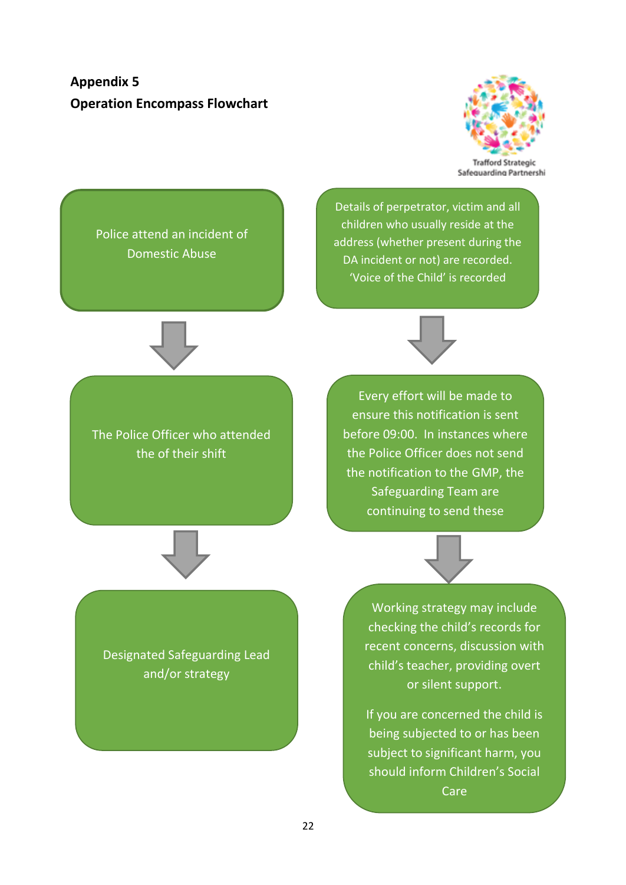**Appendix 5 Operation Encompass Flowchart**



Safeguarding Partnershi

Police attend an incident of Domestic Abuse

Details of perpetrator, victim and all children who usually reside at the address (whether present during the DA incident or not) are recorded. 'Voice of the Child' is recorded



The Police Officer who attended the of their shift



Every effort will be made to ensure this notification is sent before 09:00. In instances where the Police Officer does not send the notification to the GMP, the Safeguarding Team are continuing to send these



Designated Safeguarding Lead and/or strategy

Working strategy may include checking the child's records for recent concerns, discussion with child's teacher, providing overt or silent support.

If you are concerned the child is being subjected to or has been subject to significant harm, you should inform Children's Social Care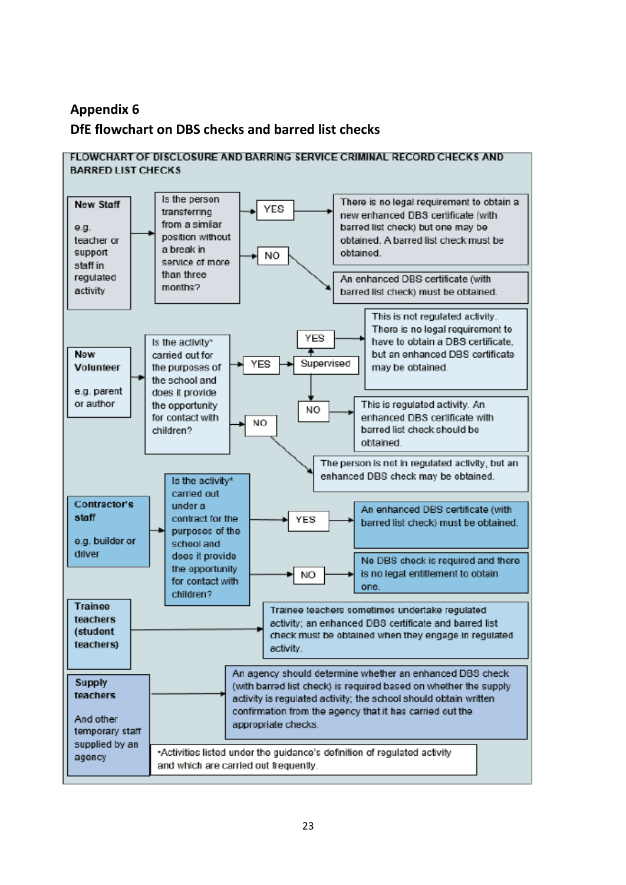## **Appendix 6 DfE flowchart on DBS checks and barred list checks**